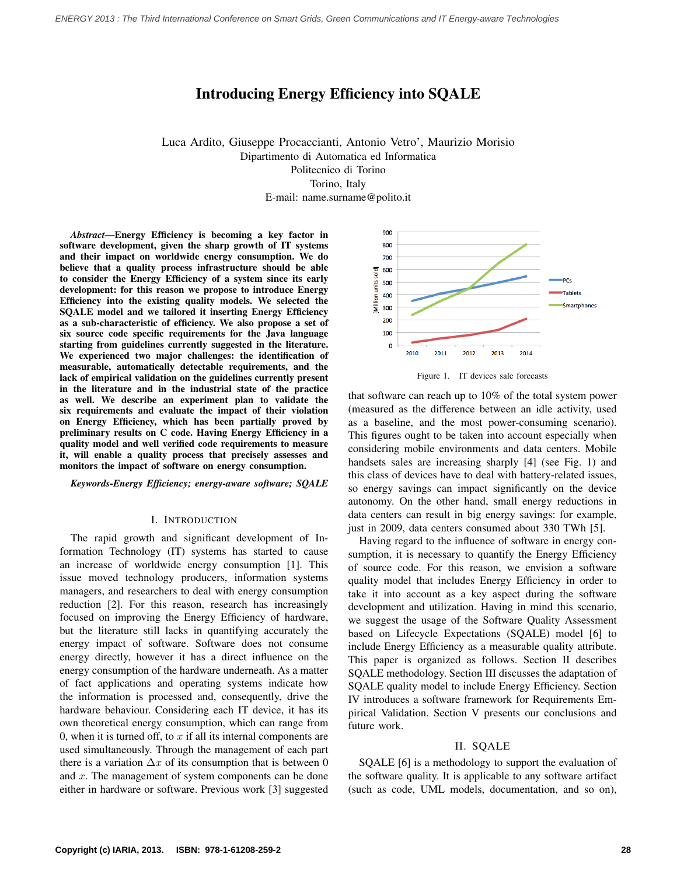# Introducing Energy Efficiency into SQALE

Luca Ardito, Giuseppe Procaccianti, Antonio Vetro', Maurizio Morisio Dipartimento di Automatica ed Informatica Politecnico di Torino Torino, Italy E-mail: name.surname@polito.it

*Abstract*—Energy Efficiency is becoming a key factor in software development, given the sharp growth of IT systems and their impact on worldwide energy consumption. We do believe that a quality process infrastructure should be able to consider the Energy Efficiency of a system since its early development: for this reason we propose to introduce Energy Efficiency into the existing quality models. We selected the SQALE model and we tailored it inserting Energy Efficiency as a sub-characteristic of efficiency. We also propose a set of six source code specific requirements for the Java language starting from guidelines currently suggested in the literature. We experienced two major challenges: the identification of measurable, automatically detectable requirements, and the lack of empirical validation on the guidelines currently present in the literature and in the industrial state of the practice as well. We describe an experiment plan to validate the six requirements and evaluate the impact of their violation on Energy Efficiency, which has been partially proved by preliminary results on C code. Having Energy Efficiency in a quality model and well verified code requirements to measure it, will enable a quality process that precisely assesses and monitors the impact of software on energy consumption.

*Keywords*-*Energy Efficiency; energy-aware software; SQALE*

#### I. INTRODUCTION

The rapid growth and significant development of Information Technology (IT) systems has started to cause an increase of worldwide energy consumption [1]. This issue moved technology producers, information systems managers, and researchers to deal with energy consumption reduction [2]. For this reason, research has increasingly focused on improving the Energy Efficiency of hardware, but the literature still lacks in quantifying accurately the energy impact of software. Software does not consume energy directly, however it has a direct influence on the energy consumption of the hardware underneath. As a matter of fact applications and operating systems indicate how the information is processed and, consequently, drive the hardware behaviour. Considering each IT device, it has its own theoretical energy consumption, which can range from 0, when it is turned off, to  $x$  if all its internal components are used simultaneously. Through the management of each part there is a variation  $\Delta x$  of its consumption that is between 0 and x. The management of system components can be done either in hardware or software. Previous work [3] suggested



Figure 1. IT devices sale forecasts

that software can reach up to 10% of the total system power (measured as the difference between an idle activity, used as a baseline, and the most power-consuming scenario). This figures ought to be taken into account especially when considering mobile environments and data centers. Mobile handsets sales are increasing sharply [4] (see Fig. 1) and this class of devices have to deal with battery-related issues, so energy savings can impact significantly on the device autonomy. On the other hand, small energy reductions in data centers can result in big energy savings: for example, just in 2009, data centers consumed about 330 TWh [5].

Having regard to the influence of software in energy consumption, it is necessary to quantify the Energy Efficiency of source code. For this reason, we envision a software quality model that includes Energy Efficiency in order to take it into account as a key aspect during the software development and utilization. Having in mind this scenario, we suggest the usage of the Software Quality Assessment based on Lifecycle Expectations (SQALE) model [6] to include Energy Efficiency as a measurable quality attribute. This paper is organized as follows. Section II describes SQALE methodology. Section III discusses the adaptation of SQALE quality model to include Energy Efficiency. Section IV introduces a software framework for Requirements Empirical Validation. Section V presents our conclusions and future work.

#### II. SQALE

SQALE [6] is a methodology to support the evaluation of the software quality. It is applicable to any software artifact (such as code, UML models, documentation, and so on),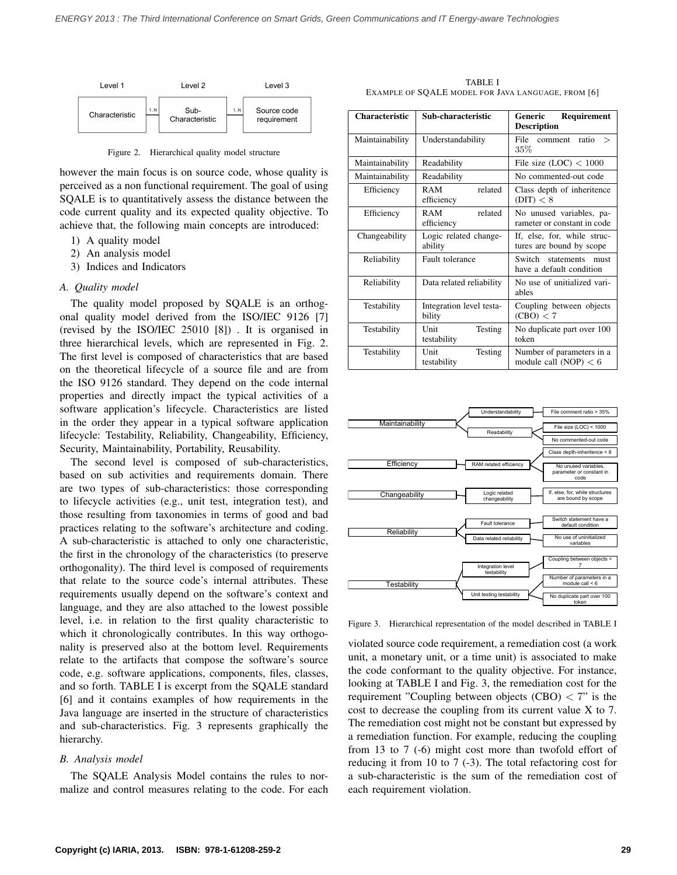

Figure 2. Hierarchical quality model structure

however the main focus is on source code, whose quality is perceived as a non functional requirement. The goal of using SQALE is to quantitatively assess the distance between the code current quality and its expected quality objective. To achieve that, the following main concepts are introduced:

- 1) A quality model
- 2) An analysis model
- 3) Indices and Indicators

#### *A. Quality model*

The quality model proposed by SQALE is an orthogonal quality model derived from the ISO/IEC 9126 [7] (revised by the ISO/IEC 25010 [8]) . It is organised in three hierarchical levels, which are represented in Fig. 2. The first level is composed of characteristics that are based on the theoretical lifecycle of a source file and are from the ISO 9126 standard. They depend on the code internal properties and directly impact the typical activities of a software application's lifecycle. Characteristics are listed in the order they appear in a typical software application lifecycle: Testability, Reliability, Changeability, Efficiency, Security, Maintainability, Portability, Reusability.

The second level is composed of sub-characteristics, based on sub activities and requirements domain. There are two types of sub-characteristics: those corresponding to lifecycle activities (e.g., unit test, integration test), and those resulting from taxonomies in terms of good and bad practices relating to the software's architecture and coding. A sub-characteristic is attached to only one characteristic, the first in the chronology of the characteristics (to preserve orthogonality). The third level is composed of requirements that relate to the source code's internal attributes. These requirements usually depend on the software's context and language, and they are also attached to the lowest possible level, i.e. in relation to the first quality characteristic to which it chronologically contributes. In this way orthogonality is preserved also at the bottom level. Requirements relate to the artifacts that compose the software's source code, e.g. software applications, components, files, classes, and so forth. TABLE I is excerpt from the SQALE standard [6] and it contains examples of how requirements in the Java language are inserted in the structure of characteristics and sub-characteristics. Fig. 3 represents graphically the hierarchy.

#### *B. Analysis model*

The SQALE Analysis Model contains the rules to normalize and control measures relating to the code. For each

TABLE I EXAMPLE OF SQALE MODEL FOR JAVA LANGUAGE, FROM [6]

| <b>Characteristic</b> | Sub-characteristic                 | Requirement<br>Generic<br><b>Description</b>            |  |
|-----------------------|------------------------------------|---------------------------------------------------------|--|
| Maintainability       | Understandability                  | File<br>ratio<br>comment<br>$\rightarrow$<br>$35\%$     |  |
| Maintainability       | Readability                        | File size $(LOC) < 1000$                                |  |
| Maintainability       | Readability                        | No commented-out code                                   |  |
| Efficiency            | related<br>RAM<br>efficiency       | Class depth of inheritence<br>(DIT) < 8                 |  |
| Efficiency            | RAM<br>related<br>efficiency       | No unused variables, pa-<br>rameter or constant in code |  |
| Changeability         | Logic related change-<br>ability   | If, else, for, while struc-<br>tures are bound by scope |  |
| Reliability           | Fault tolerance                    | Switch<br>statements must<br>have a default condition   |  |
| Reliability           | Data related reliability           | No use of unitialized vari-<br>ables                    |  |
| Testability           | Integration level testa-<br>bility | Coupling between objects<br>(CBO) < 7                   |  |
| Testability           | Unit<br>Testing<br>testability     | No duplicate part over 100<br>token                     |  |
| Testability           | Unit<br>Testing<br>testability     | Number of parameters in a<br>module call (NOP) $< 6$    |  |



Figure 3. Hierarchical representation of the model described in TABLE I

violated source code requirement, a remediation cost (a work unit, a monetary unit, or a time unit) is associated to make the code conformant to the quality objective. For instance, looking at TABLE I and Fig. 3, the remediation cost for the requirement "Coupling between objects  $(CBO) < 7$ " is the cost to decrease the coupling from its current value X to 7. The remediation cost might not be constant but expressed by a remediation function. For example, reducing the coupling from 13 to 7 (-6) might cost more than twofold effort of reducing it from 10 to 7 (-3). The total refactoring cost for a sub-characteristic is the sum of the remediation cost of each requirement violation.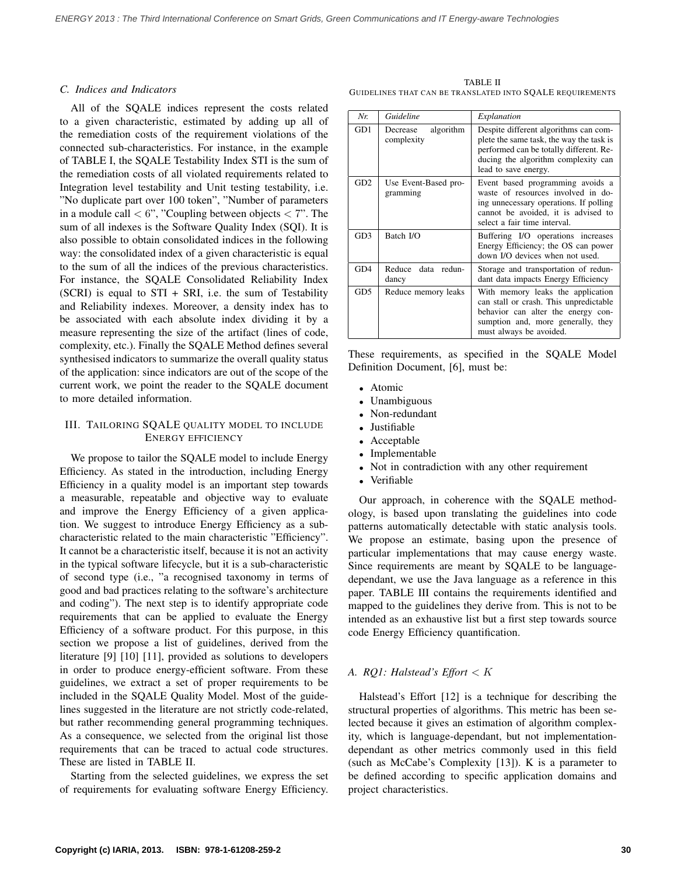#### *C. Indices and Indicators*

All of the SQALE indices represent the costs related to a given characteristic, estimated by adding up all of the remediation costs of the requirement violations of the connected sub-characteristics. For instance, in the example of TABLE I, the SQALE Testability Index STI is the sum of the remediation costs of all violated requirements related to Integration level testability and Unit testing testability, i.e. "No duplicate part over 100 token", "Number of parameters in a module call  $< 6$ ", "Coupling between objects  $< 7$ ". The sum of all indexes is the Software Quality Index (SQI). It is also possible to obtain consolidated indices in the following way: the consolidated index of a given characteristic is equal to the sum of all the indices of the previous characteristics. For instance, the SQALE Consolidated Reliability Index (SCRI) is equal to  $STI + SRI$ , i.e. the sum of Testability and Reliability indexes. Moreover, a density index has to be associated with each absolute index dividing it by a measure representing the size of the artifact (lines of code, complexity, etc.). Finally the SQALE Method defines several synthesised indicators to summarize the overall quality status of the application: since indicators are out of the scope of the current work, we point the reader to the SQALE document to more detailed information.

## III. TAILORING SQALE QUALITY MODEL TO INCLUDE ENERGY EFFICIENCY

We propose to tailor the SQALE model to include Energy Efficiency. As stated in the introduction, including Energy Efficiency in a quality model is an important step towards a measurable, repeatable and objective way to evaluate and improve the Energy Efficiency of a given application. We suggest to introduce Energy Efficiency as a subcharacteristic related to the main characteristic "Efficiency". It cannot be a characteristic itself, because it is not an activity in the typical software lifecycle, but it is a sub-characteristic of second type (i.e., "a recognised taxonomy in terms of good and bad practices relating to the software's architecture and coding"). The next step is to identify appropriate code requirements that can be applied to evaluate the Energy Efficiency of a software product. For this purpose, in this section we propose a list of guidelines, derived from the literature [9] [10] [11], provided as solutions to developers in order to produce energy-efficient software. From these guidelines, we extract a set of proper requirements to be included in the SQALE Quality Model. Most of the guidelines suggested in the literature are not strictly code-related, but rather recommending general programming techniques. As a consequence, we selected from the original list those requirements that can be traced to actual code structures. These are listed in TABLE II.

Starting from the selected guidelines, we express the set of requirements for evaluating software Energy Efficiency.

TABLE II GUIDELINES THAT CAN BE TRANSLATED INTO SQALE REQUIREMENTS

| Nr.             | Guideline                           | Explanation                                                                                                                                                                                 |
|-----------------|-------------------------------------|---------------------------------------------------------------------------------------------------------------------------------------------------------------------------------------------|
| GD1             | algorithm<br>Decrease<br>complexity | Despite different algorithms can com-<br>plete the same task, the way the task is<br>performed can be totally different. Re-<br>ducing the algorithm complexity can<br>lead to save energy. |
| GD2             | Use Event-Based pro-<br>gramming    | Event based programming avoids a<br>waste of resources involved in do-<br>ing unnecessary operations. If polling<br>cannot be avoided, it is advised to<br>select a fair time interval.     |
| GD <sub>3</sub> | Batch I/O                           | Buffering I/O operations increases<br>Energy Efficiency; the OS can power<br>down I/O devices when not used.                                                                                |
| GD <sub>4</sub> | Reduce data redun-<br>dancy         | Storage and transportation of redun-<br>dant data impacts Energy Efficiency                                                                                                                 |
| GD5             | Reduce memory leaks                 | With memory leaks the application<br>can stall or crash. This unpredictable<br>behavior can alter the energy con-<br>sumption and, more generally, they<br>must always be avoided.          |

These requirements, as specified in the SQALE Model Definition Document, [6], must be:

- Atomic
- Unambiguous
- Non-redundant
- Justifiable
- Acceptable
- **Implementable**
- Not in contradiction with any other requirement
- Verifiable

Our approach, in coherence with the SQALE methodology, is based upon translating the guidelines into code patterns automatically detectable with static analysis tools. We propose an estimate, basing upon the presence of particular implementations that may cause energy waste. Since requirements are meant by SQALE to be languagedependant, we use the Java language as a reference in this paper. TABLE III contains the requirements identified and mapped to the guidelines they derive from. This is not to be intended as an exhaustive list but a first step towards source code Energy Efficiency quantification.

### *A. RQ1: Halstead's Effort* < K

Halstead's Effort [12] is a technique for describing the structural properties of algorithms. This metric has been selected because it gives an estimation of algorithm complexity, which is language-dependant, but not implementationdependant as other metrics commonly used in this field (such as McCabe's Complexity [13]). K is a parameter to be defined according to specific application domains and project characteristics.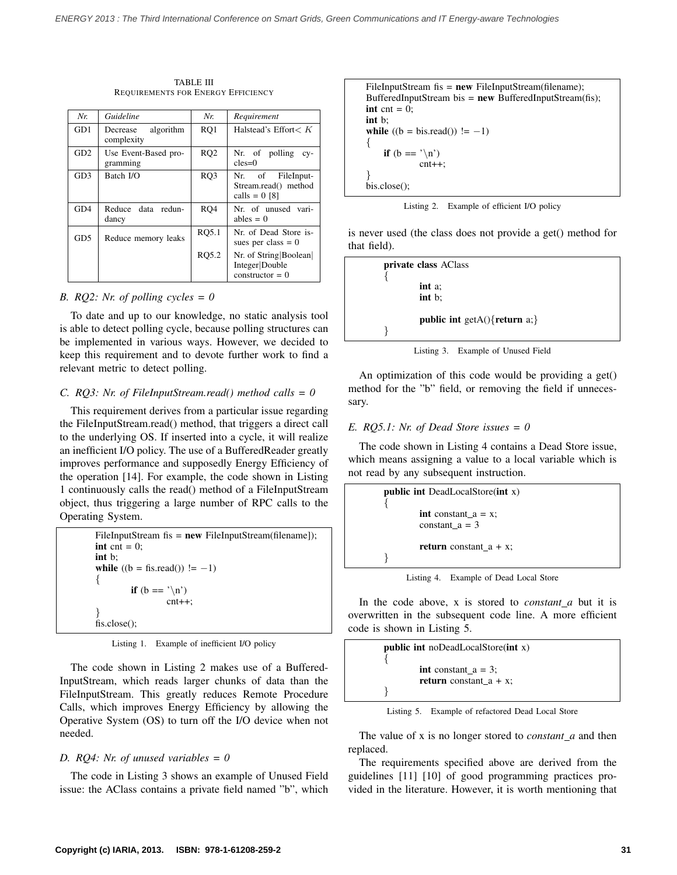TABLE III REQUIREMENTS FOR ENERGY EFFICIENCY

| Nr.             | Guideline                           | Nr.             | Requirement                                                     |
|-----------------|-------------------------------------|-----------------|-----------------------------------------------------------------|
| GD1             | algorithm<br>Decrease<br>complexity | RO1             | Halstead's Effort $\lt K$                                       |
| GD2             | Use Event-Based pro-<br>gramming    | RO <sub>2</sub> | Nr. of polling<br>$CV-$<br>$cles = 0$                           |
| GD <sub>3</sub> | Batch I/O                           | RQ3             | Nr. of<br>FileInput-<br>Stream.read() method<br>calls = $0$ [8] |
| GD <sub>4</sub> | Reduce data redun-<br>dancy         | RO4             | Nr. of unused vari-<br>ables $= 0$                              |
| GD5             | Reduce memory leaks                 | RO5.1           | Nr. of Dead Store is-<br>sues per class $= 0$                   |
|                 |                                     | RQ5.2           | Nr. of String Boolean<br>Integer Double<br>$constructor = 0$    |

## *B. RQ2: Nr. of polling cycles = 0*

To date and up to our knowledge, no static analysis tool is able to detect polling cycle, because polling structures can be implemented in various ways. However, we decided to keep this requirement and to devote further work to find a relevant metric to detect polling.

## *C. RQ3: Nr. of FileInputStream.read() method calls = 0*

This requirement derives from a particular issue regarding the FileInputStream.read() method, that triggers a direct call to the underlying OS. If inserted into a cycle, it will realize an inefficient I/O policy. The use of a BufferedReader greatly improves performance and supposedly Energy Efficiency of the operation [14]. For example, the code shown in Listing 1 continuously calls the read() method of a FileInputStream object, thus triggering a large number of RPC calls to the Operating System.

```
FileInputStream fis = new FileInputStream(filename]);
int cnt = 0:
int b;
while ((b = fis.read()) \equiv -1){
         if (b == ' \n\rangle n')cnt++;
}
fis.close();
```
Listing 1. Example of inefficient I/O policy

The code shown in Listing 2 makes use of a Buffered-InputStream, which reads larger chunks of data than the FileInputStream. This greatly reduces Remote Procedure Calls, which improves Energy Efficiency by allowing the Operative System (OS) to turn off the I/O device when not needed.

### *D. RQ4: Nr. of unused variables = 0*

The code in Listing 3 shows an example of Unused Field issue: the AClass contains a private field named "b", which

FileInputStream fis = new FileInputStream(filename); BufferedInputStream bis = new BufferedInputStream(fis); int cnt =  $0$ ; int b; while  $((b = bis.read()) \equiv -1)$ { if (b ==  $\ln$ ) cnt++; } bis.close();

Listing 2. Example of efficient I/O policy

is never used (the class does not provide a get() method for that field).

| private class AClass         |
|------------------------------|
| int a;<br>int b;             |
| public int getA(){return a;} |
|                              |

Listing 3. Example of Unused Field

An optimization of this code would be providing a get() method for the "b" field, or removing the field if unnecessary.

### *E. RQ5.1: Nr. of Dead Store issues = 0*

The code shown in Listing 4 contains a Dead Store issue, which means assigning a value to a local variable which is not read by any subsequent instruction.

public int DeadLocalStore(int x) { int constant a = x; constant a = 3 return constant a + x; }

Listing 4. Example of Dead Local Store

In the code above, x is stored to *constant\_a* but it is overwritten in the subsequent code line. A more efficient code is shown in Listing 5.

```
public int noDeadLocalStore(int x)
\{int constant a = 3;
         return constant a + x;
}
```
Listing 5. Example of refactored Dead Local Store

The value of x is no longer stored to *constant\_a* and then replaced.

The requirements specified above are derived from the guidelines [11] [10] of good programming practices provided in the literature. However, it is worth mentioning that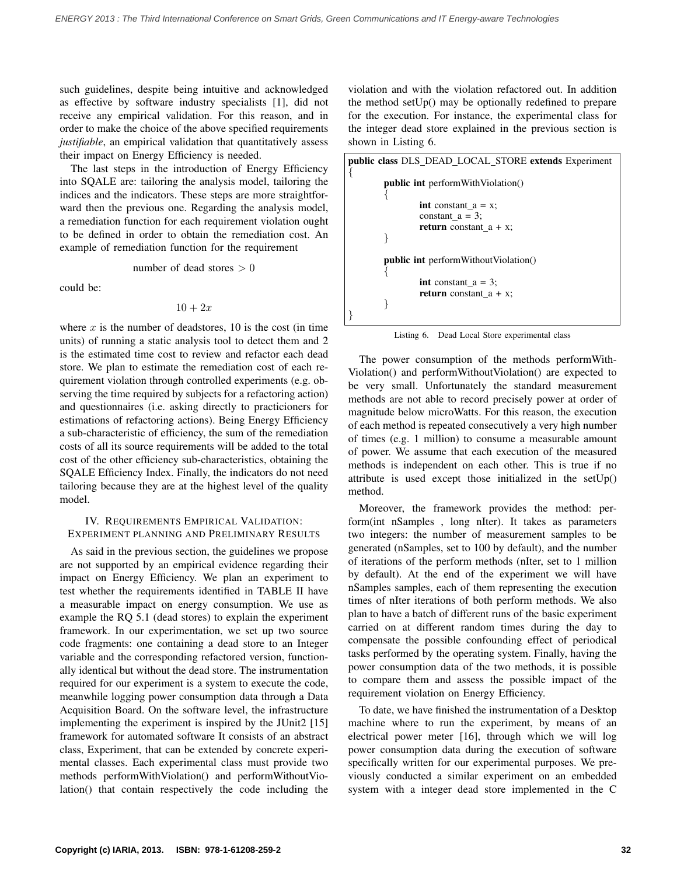such guidelines, despite being intuitive and acknowledged as effective by software industry specialists [1], did not receive any empirical validation. For this reason, and in order to make the choice of the above specified requirements *justifiable*, an empirical validation that quantitatively assess their impact on Energy Efficiency is needed.

The last steps in the introduction of Energy Efficiency into SQALE are: tailoring the analysis model, tailoring the indices and the indicators. These steps are more straightforward then the previous one. Regarding the analysis model, a remediation function for each requirement violation ought to be defined in order to obtain the remediation cost. An example of remediation function for the requirement

number of dead stores  $> 0$ 

could be:

$$
10 + 2x
$$

where  $x$  is the number of deadstores, 10 is the cost (in time units) of running a static analysis tool to detect them and 2 is the estimated time cost to review and refactor each dead store. We plan to estimate the remediation cost of each requirement violation through controlled experiments (e.g. observing the time required by subjects for a refactoring action) and questionnaires (i.e. asking directly to practicioners for estimations of refactoring actions). Being Energy Efficiency a sub-characteristic of efficiency, the sum of the remediation costs of all its source requirements will be added to the total cost of the other efficiency sub-characteristics, obtaining the SQALE Efficiency Index. Finally, the indicators do not need tailoring because they are at the highest level of the quality model.

### IV. REQUIREMENTS EMPIRICAL VALIDATION: EXPERIMENT PLANNING AND PRELIMINARY RESULTS

As said in the previous section, the guidelines we propose are not supported by an empirical evidence regarding their impact on Energy Efficiency. We plan an experiment to test whether the requirements identified in TABLE II have a measurable impact on energy consumption. We use as example the RQ 5.1 (dead stores) to explain the experiment framework. In our experimentation, we set up two source code fragments: one containing a dead store to an Integer variable and the corresponding refactored version, functionally identical but without the dead store. The instrumentation required for our experiment is a system to execute the code, meanwhile logging power consumption data through a Data Acquisition Board. On the software level, the infrastructure implementing the experiment is inspired by the JUnit2 [15] framework for automated software It consists of an abstract class, Experiment, that can be extended by concrete experimental classes. Each experimental class must provide two methods performWithViolation() and performWithoutViolation() that contain respectively the code including the violation and with the violation refactored out. In addition the method setUp() may be optionally redefined to prepare for the execution. For instance, the experimental class for the integer dead store explained in the previous section is shown in Listing 6.

| public class DLS DEAD LOCAL STORE extends Experiment |  |  |
|------------------------------------------------------|--|--|
|                                                      |  |  |
| <b>public int</b> perform With Violation()           |  |  |
|                                                      |  |  |
| int constant $a = x$ ;                               |  |  |
| constant $a = 3$ ;                                   |  |  |
| <b>return</b> constant $a + x$ ;                     |  |  |
|                                                      |  |  |
|                                                      |  |  |
| <b>public int</b> perform Without Violation()        |  |  |
|                                                      |  |  |
| int constant $a = 3$ ;                               |  |  |
| <b>return</b> constant $a + x$ ;                     |  |  |
|                                                      |  |  |
|                                                      |  |  |
|                                                      |  |  |

Listing 6. Dead Local Store experimental class

The power consumption of the methods performWith-Violation() and performWithoutViolation() are expected to be very small. Unfortunately the standard measurement methods are not able to record precisely power at order of magnitude below microWatts. For this reason, the execution of each method is repeated consecutively a very high number of times (e.g. 1 million) to consume a measurable amount of power. We assume that each execution of the measured methods is independent on each other. This is true if no attribute is used except those initialized in the setUp() method.

Moreover, the framework provides the method: perform(int nSamples , long nIter). It takes as parameters two integers: the number of measurement samples to be generated (nSamples, set to 100 by default), and the number of iterations of the perform methods (nIter, set to 1 million by default). At the end of the experiment we will have nSamples samples, each of them representing the execution times of nIter iterations of both perform methods. We also plan to have a batch of different runs of the basic experiment carried on at different random times during the day to compensate the possible confounding effect of periodical tasks performed by the operating system. Finally, having the power consumption data of the two methods, it is possible to compare them and assess the possible impact of the requirement violation on Energy Efficiency.

To date, we have finished the instrumentation of a Desktop machine where to run the experiment, by means of an electrical power meter [16], through which we will log power consumption data during the execution of software specifically written for our experimental purposes. We previously conducted a similar experiment on an embedded system with a integer dead store implemented in the C